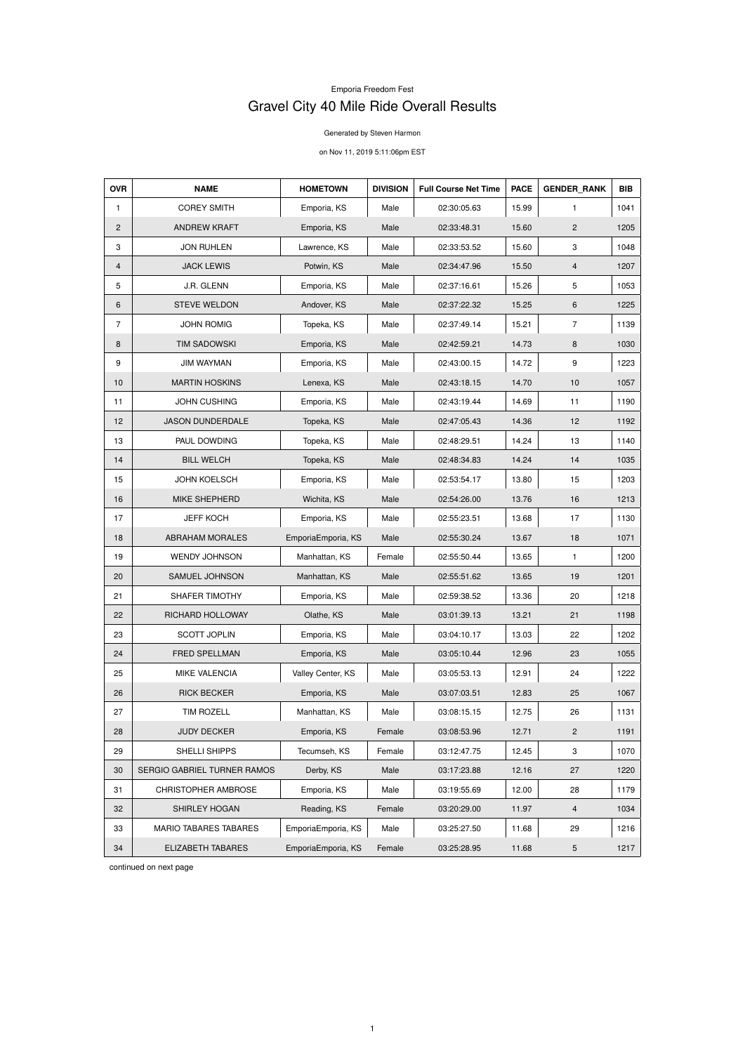## Emporia Freedom Fest Gravel City 40 Mile Ride Overall Results

Generated by Steven Harmon

on Nov 11, 2019 5:11:06pm EST

| <b>OVR</b>     | <b>NAME</b>                  | <b>HOMETOWN</b>    | <b>DIVISION</b> | <b>Full Course Net Time</b> | <b>PACE</b> | <b>GENDER RANK</b> | <b>BIB</b> |
|----------------|------------------------------|--------------------|-----------------|-----------------------------|-------------|--------------------|------------|
| $\mathbf{1}$   | <b>COREY SMITH</b>           | Emporia, KS        | Male            | 02:30:05.63                 | 15.99       | 1                  | 1041       |
| $\overline{2}$ | <b>ANDREW KRAFT</b>          | Emporia, KS        | Male            | 02:33:48.31                 | 15.60       | $\overline{2}$     | 1205       |
| 3              | <b>JON RUHLEN</b>            | Lawrence, KS       | Male            | 02:33:53.52                 | 15.60       | 3                  | 1048       |
| $\overline{4}$ | <b>JACK LEWIS</b>            | Potwin, KS         | Male            | 02:34:47.96                 | 15.50       | $\overline{4}$     | 1207       |
| 5              | J.R. GLENN                   | Emporia, KS        | Male            | 02:37:16.61                 | 15.26       | 5                  | 1053       |
| 6              | <b>STEVE WELDON</b>          | Andover, KS        | Male            | 02:37:22.32                 | 15.25       | $\,6$              | 1225       |
| $\overline{7}$ | <b>JOHN ROMIG</b>            | Topeka, KS         | Male            | 02:37:49.14                 | 15.21       | $\overline{7}$     | 1139       |
| 8              | <b>TIM SADOWSKI</b>          | Emporia, KS        | Male            | 02:42:59.21                 | 14.73       | 8                  | 1030       |
| 9              | <b>JIM WAYMAN</b>            | Emporia, KS        | Male            | 02:43:00.15                 | 14.72       | 9                  | 1223       |
| 10             | <b>MARTIN HOSKINS</b>        | Lenexa, KS         | Male            | 02:43:18.15                 | 14.70       | $10$               | 1057       |
| 11             | <b>JOHN CUSHING</b>          | Emporia, KS        | Male            | 02:43:19.44                 | 14.69       | 11                 | 1190       |
| 12             | <b>JASON DUNDERDALE</b>      | Topeka, KS         | Male            | 02:47:05.43                 | 14.36       | 12                 | 1192       |
| 13             | PAUL DOWDING                 | Topeka, KS         | Male            | 02:48:29.51                 | 14.24       | 13                 | 1140       |
| 14             | <b>BILL WELCH</b>            | Topeka, KS         | Male            | 02:48:34.83                 | 14.24       | 14                 | 1035       |
| 15             | <b>JOHN KOELSCH</b>          | Emporia, KS        | Male            | 02:53:54.17                 | 13.80       | 15                 | 1203       |
| 16             | MIKE SHEPHERD                | Wichita, KS        | Male            | 02:54:26.00                 | 13.76       | 16                 | 1213       |
| 17             | <b>JEFF KOCH</b>             | Emporia, KS        | Male            | 02:55:23.51                 | 13.68       | 17                 | 1130       |
| 18             | <b>ABRAHAM MORALES</b>       | EmporiaEmporia, KS | Male            | 02:55:30.24                 | 13.67       | 18                 | 1071       |
| 19             | <b>WENDY JOHNSON</b>         | Manhattan, KS      | Female          | 02:55:50.44                 | 13.65       | $\mathbf{1}$       | 1200       |
| 20             | SAMUEL JOHNSON               | Manhattan, KS      | Male            | 02:55:51.62                 | 13.65       | 19                 | 1201       |
| 21             | SHAFER TIMOTHY               | Emporia, KS        | Male            | 02:59:38.52                 | 13.36       | 20                 | 1218       |
| 22             | RICHARD HOLLOWAY             | Olathe, KS         | Male            | 03:01:39.13                 | 13.21       | 21                 | 1198       |
| 23             | <b>SCOTT JOPLIN</b>          | Emporia, KS        | Male            | 03:04:10.17                 | 13.03       | 22                 | 1202       |
| 24             | FRED SPELLMAN                | Emporia, KS        | Male            | 03:05:10.44                 | 12.96       | 23                 | 1055       |
| 25             | <b>MIKE VALENCIA</b>         | Valley Center, KS  | Male            | 03:05:53.13                 | 12.91       | 24                 | 1222       |
| 26             | <b>RICK BECKER</b>           | Emporia, KS        | Male            | 03:07:03.51                 | 12.83       | 25                 | 1067       |
| 27             | <b>TIM ROZELL</b>            | Manhattan, KS      | Male            | 03:08:15.15                 | 12.75       | 26                 | 1131       |
| 28             | <b>JUDY DECKER</b>           | Emporia, KS        | Female          | 03:08:53.96                 | 12.71       | $\overline{2}$     | 1191       |
| 29             | SHELLI SHIPPS                | Tecumseh, KS       | Female          | 03:12:47.75                 | 12.45       | 3                  | 1070       |
| 30             | SERGIO GABRIEL TURNER RAMOS  | Derby, KS          | Male            | 03:17:23.88                 | 12.16       | 27                 | 1220       |
| 31             | <b>CHRISTOPHER AMBROSE</b>   | Emporia, KS        | Male            | 03:19:55.69                 | 12.00       | 28                 | 1179       |
| 32             | SHIRLEY HOGAN                | Reading, KS        | Female          | 03:20:29.00                 | 11.97       | $\overline{4}$     | 1034       |
| 33             | <b>MARIO TABARES TABARES</b> | EmporiaEmporia, KS | Male            | 03:25:27.50                 | 11.68       | 29                 | 1216       |
| 34             | ELIZABETH TABARES            | EmporiaEmporia, KS | Female          | 03:25:28.95                 | 11.68       | 5                  | 1217       |

continued on next page